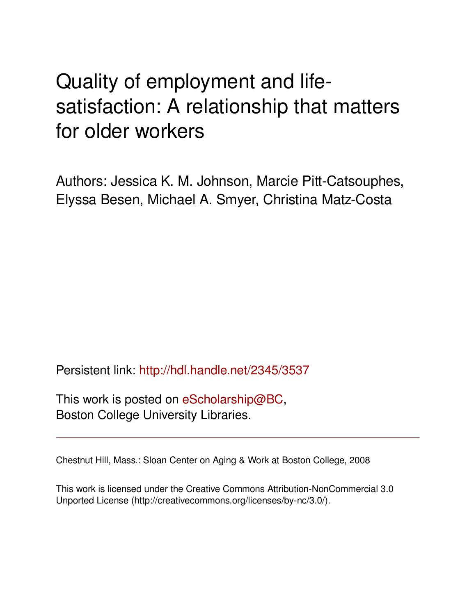# Quality of employment and lifesatisfaction: A relationship that matters for older workers

Authors: Jessica K. M. Johnson, Marcie Pitt-Catsouphes, Elyssa Besen, Michael A. Smyer, Christina Matz-Costa

Persistent link: <http://hdl.handle.net/2345/3537>

This work is posted on [eScholarship@BC](http://escholarship.bc.edu), Boston College University Libraries.

Chestnut Hill, Mass.: Sloan Center on Aging & Work at Boston College, 2008

This work is licensed under the Creative Commons Attribution-NonCommercial 3.0 Unported License (http://creativecommons.org/licenses/by-nc/3.0/).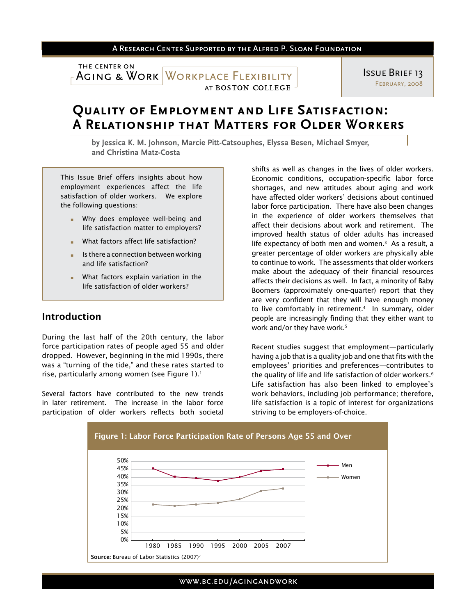### A RESEARCH CENTER SUPPORTED BY THE ALFRED P. SLOAN FOUNDATION

THE CENTER ON

**AGING & WORK WORKPLACE FLEXIBILITY** AT BOSTON COLLEGE

Issue Brief 13 February, 2008

## **Quality of Employment and Life Satisfaction: A Relationship that Matters for Older Workers**

**by Jessica K. M. Johnson, Marcie Pitt-Catsouphes, Elyssa Besen, Michael Smyer, and Christina Matz-Costa**

This Issue Brief offers insights about how employment experiences affect the life satisfaction of older workers. We explore the following questions:

- Why does employee well-being and life satisfaction matter to employers?
- What factors affect life satisfaction?
- Is there a connection between working and life satisfaction?
- What factors explain variation in the life satisfaction of older workers?

## Introduction

During the last half of the 20th century, the labor force participation rates of people aged 55 and older dropped. However, beginning in the mid 1990s, there was a "turning of the tide," and these rates started to rise, particularly among women (see Figure 1).<sup>1</sup>

Several factors have contributed to the new trends in later retirement. The increase in the labor force participation of older workers reflects both societal

shifts as well as changes in the lives of older workers. Economic conditions, occupation-specific labor force shortages, and new attitudes about aging and work have affected older workers' decisions about continued labor force participation. There have also been changes in the experience of older workers themselves that affect their decisions about work and retirement. The improved health status of older adults has increased life expectancy of both men and women. $3$  As a result, a greater percentage of older workers are physically able to continue to work. The assessments that older workers make about the adequacy of their financial resources affects their decisions as well. In fact, a minority of Baby Boomers (approximately one-quarter) report that they are very confident that they will have enough money to live comfortably in retirement.<sup>4</sup> In summary, older people are increasingly finding that they either want to work and/or they have work.<sup>5</sup>

Recent studies suggest that employment—particularly having a job that is a quality job and one that fits with the employees' priorities and preferences—contributes to the quality of life and life satisfaction of older workers.<sup>6</sup> Life satisfaction has also been linked to employee's work behaviors, including job performance; therefore, life satisfaction is a topic of interest for organizations striving to be employers-of-choice.

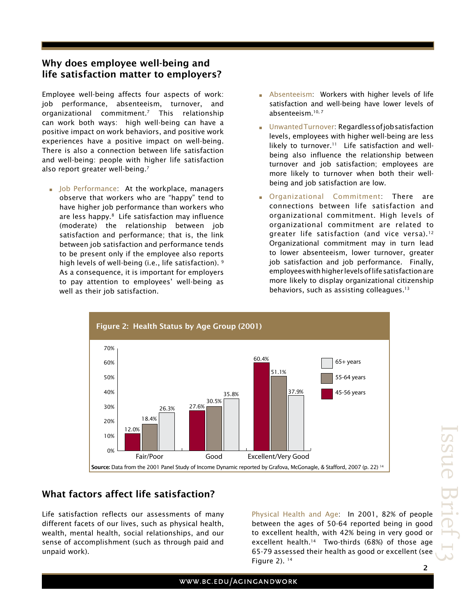## Why does employee well-being and life satisfaction matter to employers?

Employee well-being affects four aspects of work: job performance, absenteeism, turnover, and organizational commitment.7 This relationship can work both ways: high well-being can have a positive impact on work behaviors, and positive work experiences have a positive impact on well-being. There is also a connection between life satisfaction and well-being: people with higher life satisfaction also report greater well-being.7

**Job Performance:** At the workplace, managers observe that workers who are "happy" tend to have higher job performance than workers who are less happy.<sup>8</sup> Life satisfaction may influence (moderate) the relationship between job satisfaction and performance; that is, the link between job satisfaction and performance tends to be present only if the employee also reports high levels of well-being (i.e., life satisfaction). 9 As a consequence, it is important for employers to pay attention to employees' well-being as well as their job satisfaction.

- **Absenteeism:** Workers with higher levels of life satisfaction and well-being have lower levels of absenteeism.10, 7
- **E** Unwanted Turnover: Regardless of job satisfaction levels, employees with higher well-being are less likely to turnover.<sup>11</sup> Life satisfaction and wellbeing also influence the relationship between turnover and job satisfaction; employees are more likely to turnover when both their wellbeing and job satisfaction are low.
- **Organizational Commitment: There are** connections between life satisfaction and organizational commitment. High levels of organizational commitment are related to greater life satisfaction (and vice versa).<sup>12</sup> Organizational commitment may in turn lead to lower absenteeism, lower turnover, greater job satisfaction and job performance. Finally, employees with higher levels of life satisfaction are more likely to display organizational citizenship behaviors, such as assisting colleagues.<sup>13</sup>



## What factors affect life satisfaction?

Life satisfaction reflects our assessments of many different facets of our lives, such as physical health, wealth, mental health, social relationships, and our sense of accomplishment (such as through paid and unpaid work).

Physical Health and Age: In 2001, 82% of people between the ages of 50-64 reported being in good to excellent health, with 42% being in very good or excellent health.<sup>14</sup> Two-thirds (68%) of those age 65-79 assessed their health as good or excellent (see Figure 2).  $14$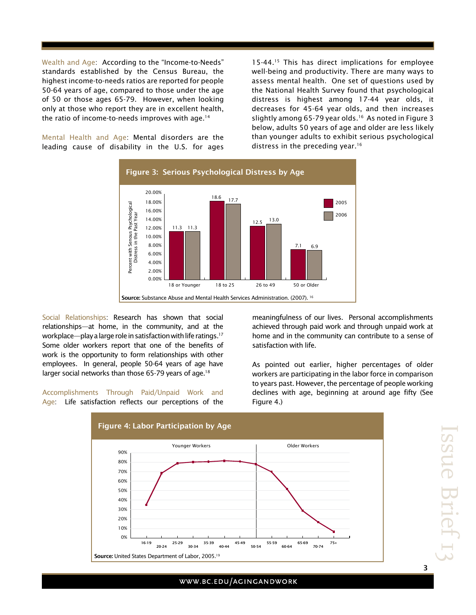Wealth and Age: According to the "Income-to-Needs" standards established by the Census Bureau, the highest income-to-needs ratios are reported for people 50-64 years of age, compared to those under the age of 50 or those ages 65-79. However, when looking only at those who report they are in excellent health, the ratio of income-to-needs improves with age.14

Mental Health and Age: Mental disorders are the leading cause of disability in the U.S. for ages

15-44.<sup>15</sup> This has direct implications for employee well-being and productivity. There are many ways to assess mental health. One set of questions used by the National Health Survey found that psychological distress is highest among 17-44 year olds, it decreases for 45-64 year olds, and then increases slightly among 65-79 year olds.<sup>16</sup> As noted in Figure 3 below, adults 50 years of age and older are less likely than younger adults to exhibit serious psychological distress in the preceding year.<sup>16</sup>



Social Relationships: Research has shown that social relationships—at home, in the community, and at the workplace—play a large role in satisfaction with life ratings.17 Some older workers report that one of the benefits of work is the opportunity to form relationships with other employees. In general, people 50-64 years of age have larger social networks than those 65-79 years of age.<sup>18</sup>

Accomplishments Through Paid/Unpaid Work and Age: Life satisfaction reflects our perceptions of the meaningfulness of our lives. Personal accomplishments achieved through paid work and through unpaid work at home and in the community can contribute to a sense of satisfaction with life.

As pointed out earlier, higher percentages of older workers are participating in the labor force in comparison to years past. However, the percentage of people working declines with age, beginning at around age fifty (See Figure 4.)



3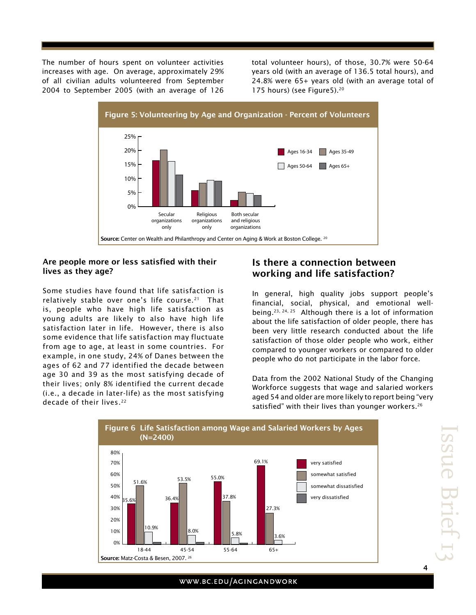The number of hours spent on volunteer activities increases with age. On average, approximately 29% of all civilian adults volunteered from September 2004 to September 2005 (with an average of 126 total volunteer hours), of those, 30.7% were 50-64 years old (with an average of 136.5 total hours), and 24.8% were 65+ years old (with an average total of 175 hours) (see Figure5).20



### Are people more or less satisfied with their lives as they age?

Some studies have found that life satisfaction is relatively stable over one's life course.<sup>21</sup> That is, people who have high life satisfaction as young adults are likely to also have high life satisfaction later in life. However, there is also some evidence that life satisfaction may fluctuate from age to age, at least in some countries. For example, in one study, 24% of Danes between the ages of 62 and 77 identified the decade between age 30 and 39 as the most satisfying decade of their lives; only 8% identified the current decade (i.e., a decade in later-life) as the most satisfying decade of their lives.<sup>22</sup>

## Is there a connection between working and life satisfaction?

In general, high quality jobs support people's financial, social, physical, and emotional wellbeing.23, 24, 25 Although there is a lot of information about the life satisfaction of older people, there has been very little research conducted about the life satisfaction of those older people who work, either compared to younger workers or compared to older people who do not participate in the labor force.

Data from the 2002 National Study of the Changing Workforce suggests that wage and salaried workers aged 54 and older are more likely to report being "very satisfied" with their lives than younger workers.<sup>26</sup>



4

## WWW.BC.EDU/AGINGANDWORK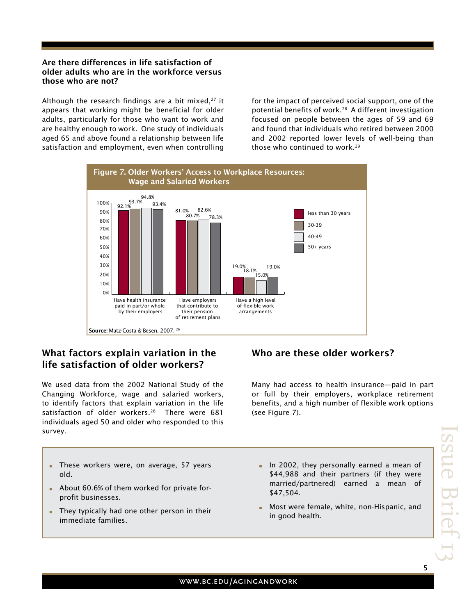## Are there differences in life satisfaction of older adults who are in the workforce versus those who are not?

Although the research findings are a bit mixed, $27$  it appears that working might be beneficial for older adults, particularly for those who want to work and are healthy enough to work. One study of individuals aged 65 and above found a relationship between life satisfaction and employment, even when controlling for the impact of perceived social support, one of the potential benefits of work.28 A different investigation focused on people between the ages of 59 and 69 and found that individuals who retired between 2000 and 2002 reported lower levels of well-being than those who continued to work.<sup>29</sup>



## What factors explain variation in the life satisfaction of older workers?

We used data from the 2002 National Study of the Changing Workforce, wage and salaried workers, to identify factors that explain variation in the life satisfaction of older workers.<sup>26</sup> There were 681 individuals aged 50 and older who responded to this survey.

## **F** These workers were, on average, 57 years old.

- **About 60.6% of them worked for private for**profit businesses.
- **Fig.** They typically had one other person in their immediate families.

## Who are these older workers?

Many had access to health insurance—paid in part or full by their employers, workplace retirement benefits, and a high number of flexible work options (see Figure 7).

- **Form** In 2002, they personally earned a mean of \$44,988 and their partners (if they were married/partnered) earned a mean of \$47,504.
- Most were female, white, non-Hispanic, and in good health.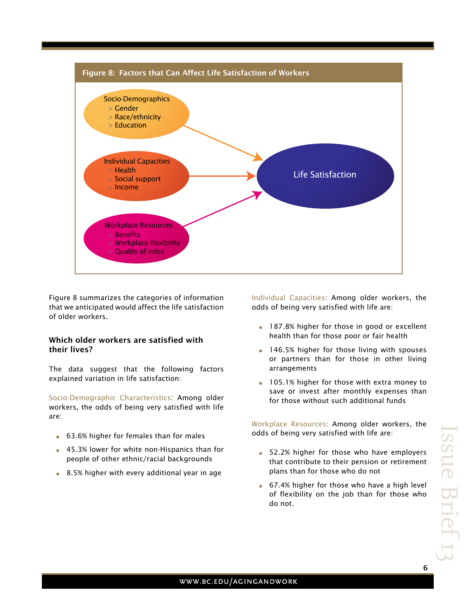

Figure 8 summarizes the categories of information that we anticipated would affect the life satisfaction of older workers.

## Which older workers are satisfied with their lives?

The data suggest that the following factors explained variation in life satisfaction:

Socio-Demographic Characteristics: Among older workers, the odds of being very satisfied with life are:

- **63.6% higher for females than for males**
- **45.3% lower for white non-Hispanics than for** people of other ethnic/racial backgrounds
- **8.5% higher with every additional year in age**

Individual Capacities: Among older workers, the odds of being very satisfied with life are:

- **187.8% higher for those in good or excellent** health than for those poor or fair health
- **146.5% higher for those living with spouses** or partners than for those in other living arrangements
- **105.1% higher for those with extra money to** save or invest after monthly expenses than for those without such additional funds

Workplace Resources: Among older workers, the odds of being very satisfied with life are:

- **52.2% higher for those who have employers** that contribute to their pension or retirement plans than for those who do not
- **67.4% higher for those who have a high level** of flexibility on the job than for those who do not.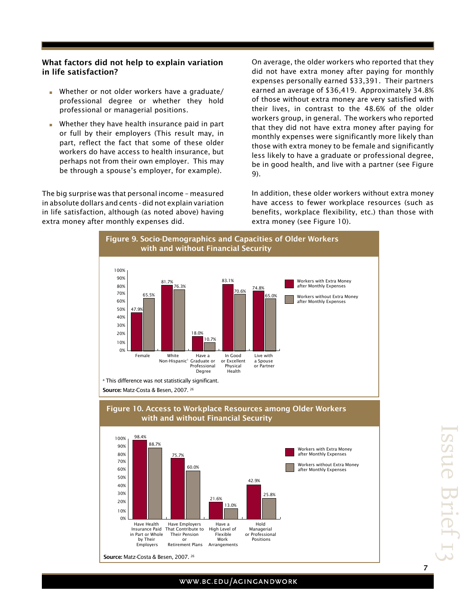## What factors did not help to explain variation in life satisfaction?

- Whether or not older workers have a graduate/ professional degree or whether they hold professional or managerial positions.
- Whether they have health insurance paid in part or full by their employers (This result may, in part, reflect the fact that some of these older workers do have access to health insurance, but perhaps not from their own employer. This may be through a spouse's employer, for example).

The big surprise was that personal income – measured in absolute dollars and cents - did not explain variation in life satisfaction, although (as noted above) having extra money after monthly expenses did.

On average, the older workers who reported that they did not have extra money after paying for monthly expenses personally earned \$33,391. Their partners earned an average of \$36,419. Approximately 34.8% of those without extra money are very satisfied with their lives, in contrast to the 48.6% of the older workers group, in general. The workers who reported that they did not have extra money after paying for monthly expenses were significantly more likely than those with extra money to be female and significantly less likely to have a graduate or professional degree, be in good health, and live with a partner (see Figure 9).

In addition, these older workers without extra money have access to fewer workplace resources (such as benefits, workplace flexibility, etc.) than those with extra money (see Figure 10).





#### WWW.BC.EDU/AGINGANDWORK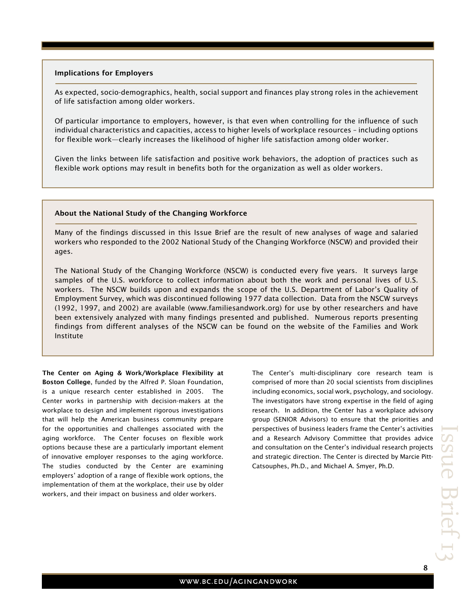#### Implications for Employers

As expected, socio-demographics, health, social support and finances play strong roles in the achievement of life satisfaction among older workers.

Of particular importance to employers, however, is that even when controlling for the influence of such individual characteristics and capacities, access to higher levels of workplace resources – including options for flexible work—clearly increases the likelihood of higher life satisfaction among older worker.

Given the links between life satisfaction and positive work behaviors, the adoption of practices such as flexible work options may result in benefits both for the organization as well as older workers.

#### About the National Study of the Changing Workforce

Many of the findings discussed in this Issue Brief are the result of new analyses of wage and salaried workers who responded to the 2002 National Study of the Changing Workforce (NSCW) and provided their ages.

The National Study of the Changing Workforce (NSCW) is conducted every five years. It surveys large samples of the U.S. workforce to collect information about both the work and personal lives of U.S. workers. The NSCW builds upon and expands the scope of the U.S. Department of Labor's Quality of Employment Survey, which was discontinued following 1977 data collection. Data from the NSCW surveys (1992, 1997, and 2002) are available (www.familiesandwork.org) for use by other researchers and have been extensively analyzed with many findings presented and published. Numerous reports presenting findings from different analyses of the NSCW can be found on the website of the Families and Work Institute

The Center on Aging & Work/Workplace Flexibility at Boston College, funded by the Alfred P. Sloan Foundation, is a unique research center established in 2005. The Center works in partnership with decision-makers at the workplace to design and implement rigorous investigations that will help the American business community prepare for the opportunities and challenges associated with the aging workforce. The Center focuses on flexible work options because these are a particularly important element of innovative employer responses to the aging workforce. The studies conducted by the Center are examining employers' adoption of a range of flexible work options, the implementation of them at the workplace, their use by older workers, and their impact on business and older workers.

The Center's multi-disciplinary core research team is comprised of more than 20 social scientists from disciplines including economics, social work, psychology, and sociology. The investigators have strong expertise in the field of aging research. In addition, the Center has a workplace advisory group (SENIOR Advisors) to ensure that the priorities and perspectives of business leaders frame the Center's activities and a Research Advisory Committee that provides advice and consultation on the Center's individual research projects and strategic direction. The Center is directed by Marcie Pitt-Catsouphes, Ph.D., and Michael A. Smyer, Ph.D.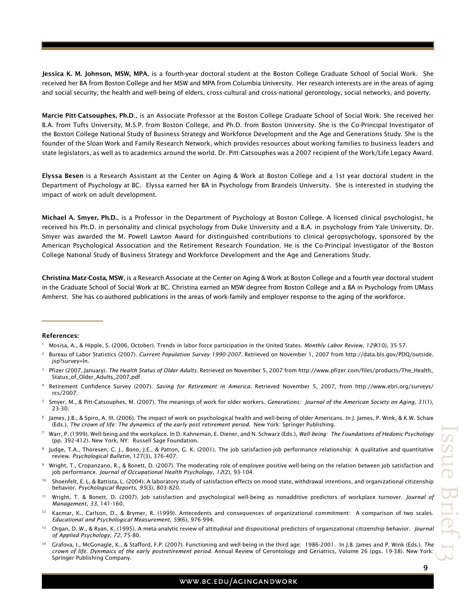Jessica K. M. Johnson, MSW, MPA, is a fourth-year doctoral student at the Boston College Graduate School of Social Work. She received her BA from Boston College and her MSW and MPA from Columbia University. Her research interests are in the areas of aging and social security, the health and well-being of elders, cross-cultural and cross-national gerontology, social networks, and poverty.

Marcie Pitt-Catsouphes, Ph.D., is an Associate Professor at the Boston College Graduate School of Social Work. She received her B.A. from Tufts University, M.S.P. from Boston College, and Ph.D. from Boston University. She is the Co-Principal Investigator of the Boston College National Study of Business Strategy and Workforce Development and the Age and Generations Study. She is the founder of the Sloan Work and Family Research Network, which provides resources about working families to business leaders and state legislators, as well as to academics around the world. Dr. Pitt-Catsouphes was a 2007 recipient of the Work/Life Legacy Award.

Elyssa Besen is a Research Assistant at the Center on Aging & Work at Boston College and a 1st year doctoral student in the Department of Psychology at BC. Elyssa earned her BA in Psychology from Brandeis University. She is interested in studying the impact of work on adult development.

Michael A. Smyer, Ph.D., is a Professor in the Department of Psychology at Boston College. A licensed clinical psychologist, he received his Ph.D. in personality and clinical psychology from Duke University and a B.A. in psychology from Yale University. Dr. Smyer was awarded the M. Powell Lawton Award for distinguished contributions to clinical geropsychology, sponsored by the American Psychological Association and the Retirement Research Foundation. He is the Co-Principal Investigator of the Boston College National Study of Business Strategy and Workforce Development and the Age and Generations Study.

Christina Matz-Costa, MSW, is a Research Associate at the Center on Aging & Work at Boston College and a fourth year doctoral student in the Graduate School of Social Work at BC. Christina earned an MSW degree from Boston College and a BA in Psychology from UMass Amherst. She has co-authored publications in the areas of work-family and employer response to the aging of the workforce.

#### References:

- <sup>3</sup> Pfizer (2007, January). *The Health Status of Older Adults*. Retrieved on November 5, 2007 from http://www.pfizer.com/files/products/The\_Health\_ Status\_of\_Older\_Adults\_2007.pdf
- <sup>4</sup> Retirement Confidence Survey (2007). *Saving for Retirement in America*. Retrieved November 5, 2007, from http://www.ebri.org/surveys/ rcs/2007.
- <sup>5</sup> Smyer, M., & Pitt-Catsouphes, M. (2007). The meanings of work for older workers. *Generations: Journal of the American Society on Aging, 31*(1), 23-30.
- James, J.B., & Spiro, A. III. (2006). The impact of work on psychological health and well-being of older Americans. In J. James, P. Wink, & K.W. Schaie (Eds.), *The crown of life: The dynamics of the early post retirement period*. New York: Springer Publishing.
- <sup>7</sup> Warr, P. (1999). Well-being and the workplace. In D. Kahneman, E. Diener, and N. Schwarz (Eds.), *Well-being: The Foundations of Hedonic Psychology* (pp. 392-412). New York, NY: Russell Sage Foundation.
- <sup>8</sup> Judge, T.A., Thoresen, C. J., Bono, J.E., & Patton, G. K. (2001). The job satisfaction-job performance relationship: A qualitative and quantitative review. *Psychological Bulletin*, 127(3), 376-407.
- <sup>9</sup> Wright, T., Cropanzano, R., & Bonett, D. (2007). The moderating role of employee positive well-being on the relation between job satisfaction and job performance. *Journal of Occupational Health Psychology, 12*(2), 93-104.
- 10 Shoenfelt, E. L, & Battista, L. (2004). A laboratory study of satisfaction effects on mood state, withdrawal intentions, and organizational citizenship behavior. *Psychological Reports, 95*(3), 803-820.
- 11 Wright, T. & Bonett, D. (2007). Job satisfaction and psychological well-being as nonadditive predictors of workplace turnover. *Journal of Management, 33*, 141-160.
- Kacmar, K., Carlson, D., & Brymer, R. (1999). Antecedents and consequences of organizational commitment: A comparison of two scales. *Educational and Psychological Measurement, 59*(6), 976-994.
- 13 Organ, D. W., & Ryan, K. (1995). A meta-analytic review of attitudinal and dispositional predictors of organizational citizenship behavior. *Journal of Applied Psychology, 72*, 75-80.
- 14 Grafova, I., McGonagle, K., & Stafford, F.P. (2007). Functioning and well-being in the third age: 1986-2001. In J.B. James and P. Wink (Eds.). *The crown of life. Dynmaics of the early postretirement period*. Annual Review of Gerontology and Geriatrics, Volume 26 (pgs. 19-38). New York: Springer Publishing Company.

#### WWW.BC.EDU/AGINGANDWORK

<sup>1</sup> Mosisa, A., & Hipple, S. (2006, October). Trends in labor force participation in the United States. *Monthly Labor Review, 129*(10), 35-57.

<sup>2</sup> Bureau of Labor Statistics (2007). *Current Population Survey 1990-2007*. Retrieved on November 1, 2007 from http://data.bls.gov/PDQ/outside. jsp?survey=ln.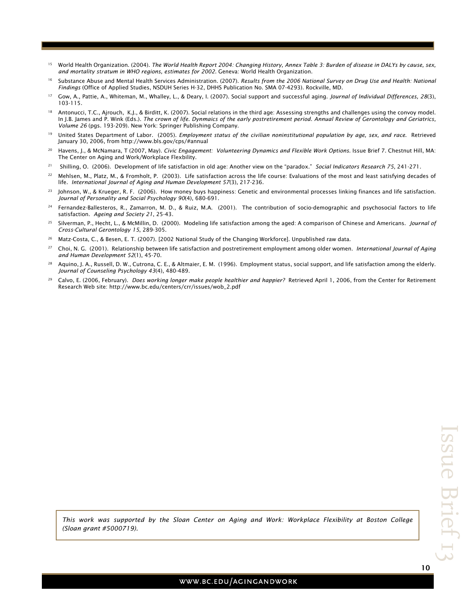- 15 World Health Organization. (2004). *The World Health Report 2004: Changing History, Annex Table 3: Burden of disease in DALYs by cause, sex, and mortality stratum in WHO regions, estimates for 2002*. Geneva: World Health Organization.
- <sup>16</sup> Substance Abuse and Mental Health Services Administration. (2007). *Results from the 2006 National Survey on Drug Use and Health: National Findings* (Office of Applied Studies, NSDUH Series H-32, DHHS Publication No. SMA 07-4293). Rockville, MD.
- 17 Gow, A., Pattie, A., Whiteman, M., Whalley, L., & Deary, I. (2007). Social support and successful aging. *Journal of Individual Differences, 28*(3), 103-115.
- <sup>18</sup> Antonucci, T.C., Ajrouch, K.J., & Birditt, K. (2007). Social relations in the third age: Assessing strengths and challenges using the convoy model. In J.B. James and P. Wink (Eds.). *The crown of life. Dynmaics of the early postretirement period. Annual Review of Gerontology and Geriatrics, Volume 26* (pgs. 193-209). New York: Springer Publishing Company.
- 19 United States Department of Labor. (2005). *Employment status of the civilian noninstitutional population by age, sex, and race*. Retrieved January 30, 2006, from http://www.bls.gov/cps/#annual
- 20 Havens, J., & McNamara, T (2007, May). *Civic Engagement: Volunteering Dynamics and Flexible Work Options*. Issue Brief 7. Chestnut Hill, MA: The Center on Aging and Work/Workplace Flexbility.
- 21 Shilling, O. (2006). Development of life satisfaction in old age: Another view on the "paradox." *Social Indicators Research 75*, 241-271.
- 22 Mehlsen, M., Platz, M., & Fromholt, P. (2003). Life satisfaction across the life course: Evaluations of the most and least satisfying decades of life. *International Journal of Aging and Human Development 57*(3), 217-236.
- <sup>23</sup> Johnson, W., & Krueger, R. F. (2006). How money buys happiness: Genetic and environmental processes linking finances and life satisfaction. *Journal of Personality and Social Psychology 90*(4), 680-691.
- <sup>24</sup> Fernandez-Ballesteros, R., Zamarron, M. D., & Ruiz, M.A. (2001). The contribution of socio-demographic and psychosocial factors to life satisfaction. *Ageing and Society 21*, 25-43.
- 25 Silverman, P., Hecht, L., & McMillin, D. (2000). Modeling life satisfaction among the aged: A comparison of Chinese and Americans. *Journal of Cross-Cultural Gerontology 15*, 289-305.
- <sup>26</sup> Matz-Costa, C., & Besen, E. T. (2007). [2002 National Study of the Changing Workforce]. Unpublished raw data.
- 27 Choi, N. G. (2001). Relationship between life satisfaction and postretirement employment among older women. *International Journal of Aging and Human Development 52*(1), 45-70.
- 28 Aquino, J. A., Russell, D. W., Cutrona, C. E., & Altmaier, E. M. (1996). Employment status, social support, and life satisfaction among the elderly. *Journal of Counseling Psychology 43*(4), 480-489.
- 29 Calvo, E. (2006, February). *Does working longer make people healthier and happier?* Retrieved April 1, 2006, from the Center for Retirement Research Web site: http://www.bc.edu/centers/crr/issues/wob\_2.pdf

*This work was supported by the Sloan Center on Aging and Work: Workplace Flexibility at Boston College (Sloan grant #5000719).*